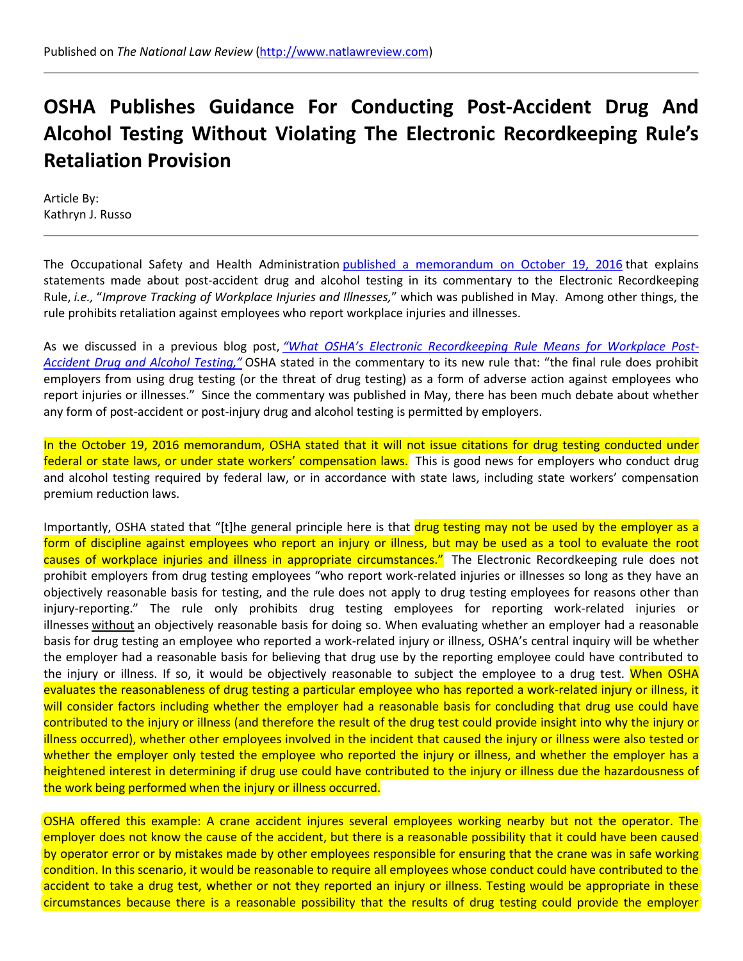## **OSHA Publishes Guidance For Conducting Post-Accident Drug And Alcohol Testing Without Violating The Electronic Recordkeeping Rule's Retaliation Provision**

Article By: Kathryn J. Russo

The Occupational Safety and Health Administration [published a memorandum on October 19, 2016](https://www.osha.gov/recordkeeping/finalrule/interp_recordkeeping_101816.html) that explains statements made about post-accident drug and alcohol testing in its commentary to the Electronic Recordkeeping Rule, *i.e.,* "*Improve Tracking of Workplace Injuries and Illnesses,*" which was published in May. Among other things, the rule prohibits retaliation against employees who report workplace injuries and illnesses.

As we discussed in a previous blog post, *["What OSHA's Electronic Recordkeeping Rule Means for Workplace Post-](http://www.natlawreview.com/article/what-osha-s-electronic-recordkeeping-rule-means-workplace-post-accident-drug-and)[Accident Drug and Alcohol Testing,"](http://www.natlawreview.com/article/what-osha-s-electronic-recordkeeping-rule-means-workplace-post-accident-drug-and)* OSHA stated in the commentary to its new rule that: "the final rule does prohibit employers from using drug testing (or the threat of drug testing) as a form of adverse action against employees who report injuries or illnesses." Since the commentary was published in May, there has been much debate about whether any form of post-accident or post-injury drug and alcohol testing is permitted by employers.

In the October 19, 2016 memorandum, OSHA stated that it will not issue citations for drug testing conducted under federal or state laws, or under state workers' compensation laws. This is good news for employers who conduct drug and alcohol testing required by federal law, or in accordance with state laws, including state workers' compensation premium reduction laws.

Importantly, OSHA stated that "[t]he general principle here is that drug testing may not be used by the employer as a form of discipline against employees who report an injury or illness, but may be used as a tool to evaluate the root causes of workplace injuries and illness in appropriate circumstances." The Electronic Recordkeeping rule does not prohibit employers from drug testing employees "who report work-related injuries or illnesses so long as they have an objectively reasonable basis for testing, and the rule does not apply to drug testing employees for reasons other than injury-reporting." The rule only prohibits drug testing employees for reporting work-related injuries or illnesses without an objectively reasonable basis for doing so. When evaluating whether an employer had a reasonable basis for drug testing an employee who reported a work-related injury or illness, OSHA's central inquiry will be whether the employer had a reasonable basis for believing that drug use by the reporting employee could have contributed to the injury or illness. If so, it would be objectively reasonable to subject the employee to a drug test. When OSHA evaluates the reasonableness of drug testing a particular employee who has reported a work-related injury or illness, it will consider factors including whether the employer had a reasonable basis for concluding that drug use could have contributed to the injury or illness (and therefore the result of the drug test could provide insight into why the injury or illness occurred), whether other employees involved in the incident that caused the injury or illness were also tested or whether the employer only tested the employee who reported the injury or illness, and whether the employer has a heightened interest in determining if drug use could have contributed to the injury or illness due the hazardousness of the work being performed when the injury or illness occurred.

OSHA offered this example: A crane accident injures several employees working nearby but not the operator. The employer does not know the cause of the accident, but there is a reasonable possibility that it could have been caused by operator error or by mistakes made by other employees responsible for ensuring that the crane was in safe working condition. In this scenario, it would be reasonable to require all employees whose conduct could have contributed to the accident to take a drug test, whether or not they reported an injury or illness. Testing would be appropriate in these circumstances because there is a reasonable possibility that the results of drug testing could provide the employer